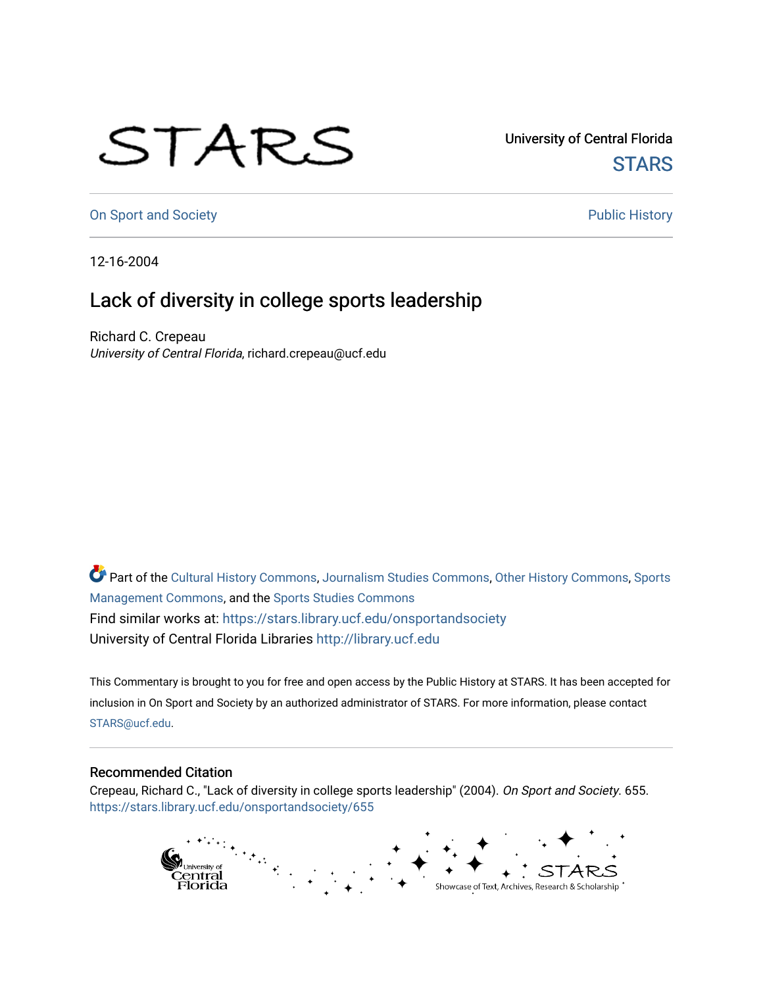## STARS

University of Central Florida **STARS** 

[On Sport and Society](https://stars.library.ucf.edu/onsportandsociety) **Public History** Public History

12-16-2004

## Lack of diversity in college sports leadership

Richard C. Crepeau University of Central Florida, richard.crepeau@ucf.edu

Part of the [Cultural History Commons](http://network.bepress.com/hgg/discipline/496?utm_source=stars.library.ucf.edu%2Fonsportandsociety%2F655&utm_medium=PDF&utm_campaign=PDFCoverPages), [Journalism Studies Commons,](http://network.bepress.com/hgg/discipline/333?utm_source=stars.library.ucf.edu%2Fonsportandsociety%2F655&utm_medium=PDF&utm_campaign=PDFCoverPages) [Other History Commons,](http://network.bepress.com/hgg/discipline/508?utm_source=stars.library.ucf.edu%2Fonsportandsociety%2F655&utm_medium=PDF&utm_campaign=PDFCoverPages) [Sports](http://network.bepress.com/hgg/discipline/1193?utm_source=stars.library.ucf.edu%2Fonsportandsociety%2F655&utm_medium=PDF&utm_campaign=PDFCoverPages) [Management Commons](http://network.bepress.com/hgg/discipline/1193?utm_source=stars.library.ucf.edu%2Fonsportandsociety%2F655&utm_medium=PDF&utm_campaign=PDFCoverPages), and the [Sports Studies Commons](http://network.bepress.com/hgg/discipline/1198?utm_source=stars.library.ucf.edu%2Fonsportandsociety%2F655&utm_medium=PDF&utm_campaign=PDFCoverPages) Find similar works at: <https://stars.library.ucf.edu/onsportandsociety> University of Central Florida Libraries [http://library.ucf.edu](http://library.ucf.edu/) 

This Commentary is brought to you for free and open access by the Public History at STARS. It has been accepted for inclusion in On Sport and Society by an authorized administrator of STARS. For more information, please contact [STARS@ucf.edu](mailto:STARS@ucf.edu).

## Recommended Citation

Crepeau, Richard C., "Lack of diversity in college sports leadership" (2004). On Sport and Society. 655. [https://stars.library.ucf.edu/onsportandsociety/655](https://stars.library.ucf.edu/onsportandsociety/655?utm_source=stars.library.ucf.edu%2Fonsportandsociety%2F655&utm_medium=PDF&utm_campaign=PDFCoverPages)

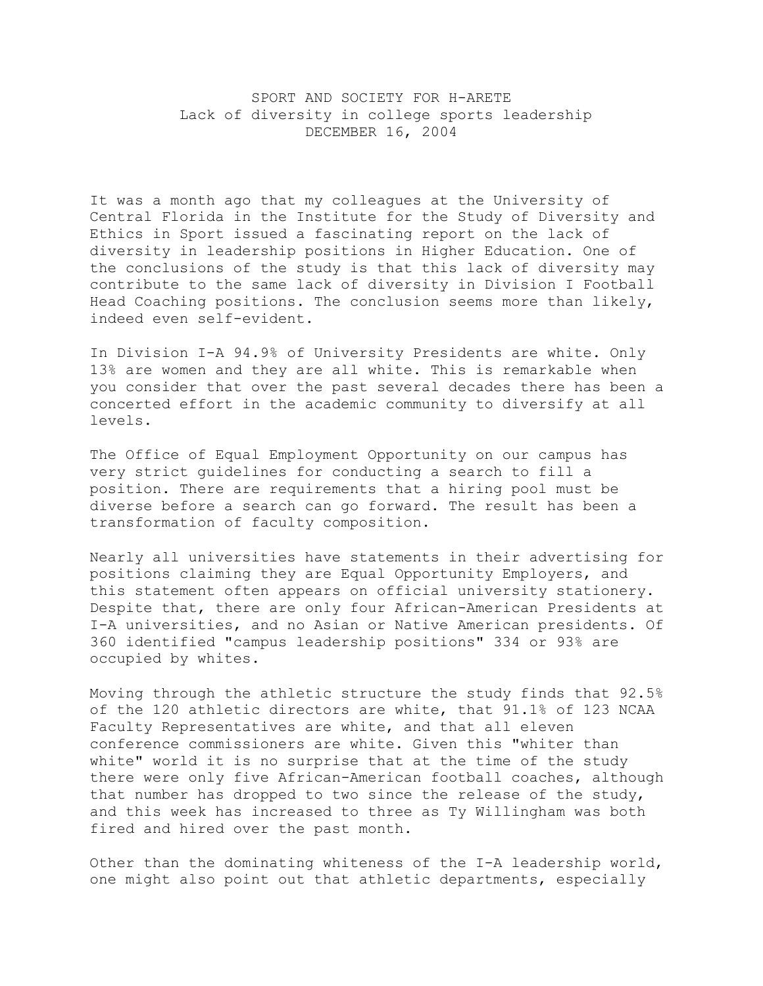SPORT AND SOCIETY FOR H-ARETE Lack of diversity in college sports leadership DECEMBER 16, 2004

It was a month ago that my colleagues at the University of Central Florida in the Institute for the Study of Diversity and Ethics in Sport issued a fascinating report on the lack of diversity in leadership positions in Higher Education. One of the conclusions of the study is that this lack of diversity may contribute to the same lack of diversity in Division I Football Head Coaching positions. The conclusion seems more than likely, indeed even self-evident.

In Division I-A 94.9% of University Presidents are white. Only 13% are women and they are all white. This is remarkable when you consider that over the past several decades there has been a concerted effort in the academic community to diversify at all levels.

The Office of Equal Employment Opportunity on our campus has very strict guidelines for conducting a search to fill a position. There are requirements that a hiring pool must be diverse before a search can go forward. The result has been a transformation of faculty composition.

Nearly all universities have statements in their advertising for positions claiming they are Equal Opportunity Employers, and this statement often appears on official university stationery. Despite that, there are only four African-American Presidents at I-A universities, and no Asian or Native American presidents. Of 360 identified "campus leadership positions" 334 or 93% are occupied by whites.

Moving through the athletic structure the study finds that 92.5% of the 120 athletic directors are white, that 91.1% of 123 NCAA Faculty Representatives are white, and that all eleven conference commissioners are white. Given this "whiter than white" world it is no surprise that at the time of the study there were only five African-American football coaches, although that number has dropped to two since the release of the study, and this week has increased to three as Ty Willingham was both fired and hired over the past month.

Other than the dominating whiteness of the I-A leadership world, one might also point out that athletic departments, especially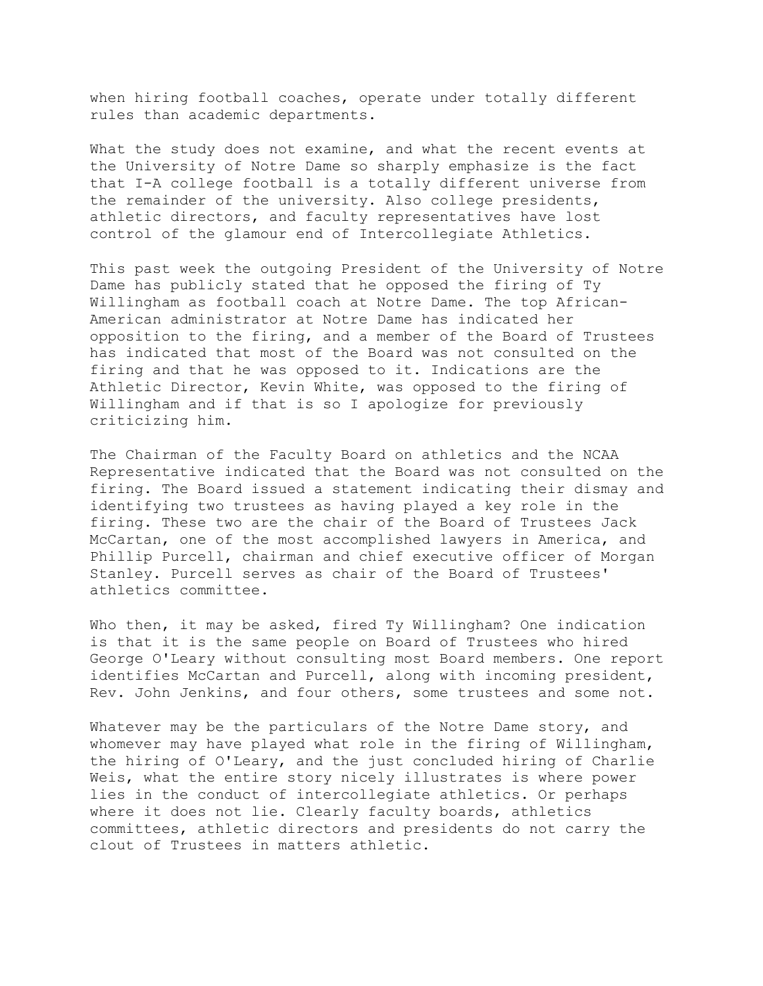when hiring football coaches, operate under totally different rules than academic departments.

What the study does not examine, and what the recent events at the University of Notre Dame so sharply emphasize is the fact that I-A college football is a totally different universe from the remainder of the university. Also college presidents, athletic directors, and faculty representatives have lost control of the glamour end of Intercollegiate Athletics.

This past week the outgoing President of the University of Notre Dame has publicly stated that he opposed the firing of Ty Willingham as football coach at Notre Dame. The top African-American administrator at Notre Dame has indicated her opposition to the firing, and a member of the Board of Trustees has indicated that most of the Board was not consulted on the firing and that he was opposed to it. Indications are the Athletic Director, Kevin White, was opposed to the firing of Willingham and if that is so I apologize for previously criticizing him.

The Chairman of the Faculty Board on athletics and the NCAA Representative indicated that the Board was not consulted on the firing. The Board issued a statement indicating their dismay and identifying two trustees as having played a key role in the firing. These two are the chair of the Board of Trustees Jack McCartan, one of the most accomplished lawyers in America, and Phillip Purcell, chairman and chief executive officer of Morgan Stanley. Purcell serves as chair of the Board of Trustees' athletics committee.

Who then, it may be asked, fired Ty Willingham? One indication is that it is the same people on Board of Trustees who hired George O'Leary without consulting most Board members. One report identifies McCartan and Purcell, along with incoming president, Rev. John Jenkins, and four others, some trustees and some not.

Whatever may be the particulars of the Notre Dame story, and whomever may have played what role in the firing of Willingham, the hiring of O'Leary, and the just concluded hiring of Charlie Weis, what the entire story nicely illustrates is where power lies in the conduct of intercollegiate athletics. Or perhaps where it does not lie. Clearly faculty boards, athletics committees, athletic directors and presidents do not carry the clout of Trustees in matters athletic.